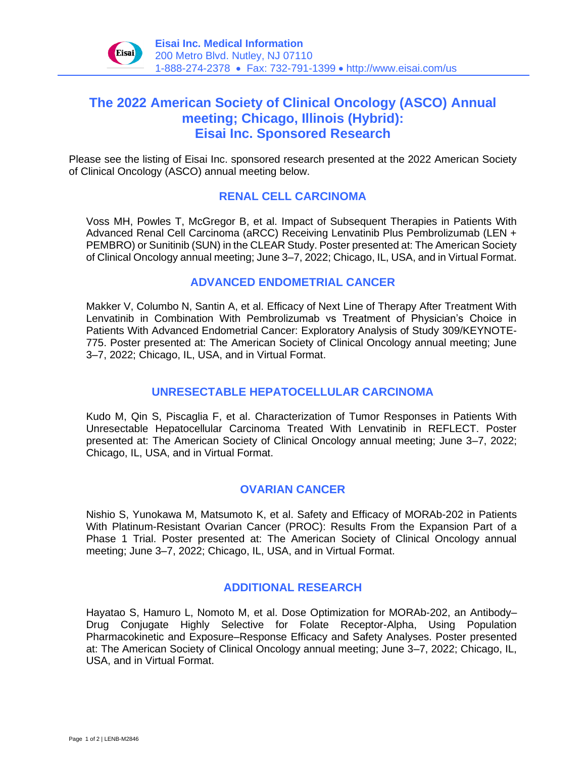

# **The 2022 American Society of Clinical Oncology (ASCO) Annual meeting; Chicago, Illinois (Hybrid): Eisai Inc. Sponsored Research**

Please see the listing of Eisai Inc. sponsored research presented at the 2022 American Society of Clinical Oncology (ASCO) annual meeting below.

#### **RENAL CELL CARCINOMA**

Voss MH, Powles T, McGregor B, et al. Impact of Subsequent Therapies in Patients With Advanced Renal Cell Carcinoma (aRCC) Receiving Lenvatinib Plus Pembrolizumab (LEN + PEMBRO) or Sunitinib (SUN) in the CLEAR Study. Poster presented at: The American Society of Clinical Oncology annual meeting; June 3–7, 2022; Chicago, IL, USA, and in Virtual Format.

#### **ADVANCED ENDOMETRIAL CANCER**

Makker V, Columbo N, Santin A, et al. Efficacy of Next Line of Therapy After Treatment With Lenvatinib in Combination With Pembrolizumab vs Treatment of Physician's Choice in Patients With Advanced Endometrial Cancer: Exploratory Analysis of Study 309/KEYNOTE-775. Poster presented at: The American Society of Clinical Oncology annual meeting; June 3–7, 2022; Chicago, IL, USA, and in Virtual Format.

## **UNRESECTABLE HEPATOCELLULAR CARCINOMA**

Kudo M, Qin S, Piscaglia F, et al. Characterization of Tumor Responses in Patients With Unresectable Hepatocellular Carcinoma Treated With Lenvatinib in REFLECT. Poster presented at: The American Society of Clinical Oncology annual meeting; June 3–7, 2022; Chicago, IL, USA, and in Virtual Format.

## **OVARIAN CANCER**

Nishio S, Yunokawa M, Matsumoto K, et al. Safety and Efficacy of MORAb-202 in Patients With Platinum-Resistant Ovarian Cancer (PROC): Results From the Expansion Part of a Phase 1 Trial. Poster presented at: The American Society of Clinical Oncology annual meeting; June 3–7, 2022; Chicago, IL, USA, and in Virtual Format.

#### **ADDITIONAL RESEARCH**

Hayatao S, Hamuro L, Nomoto M, et al. Dose Optimization for MORAb-202, an Antibody– Drug Conjugate Highly Selective for Folate Receptor-Alpha, Using Population Pharmacokinetic and Exposure–Response Efficacy and Safety Analyses. Poster presented at: The American Society of Clinical Oncology annual meeting; June 3–7, 2022; Chicago, IL, USA, and in Virtual Format.